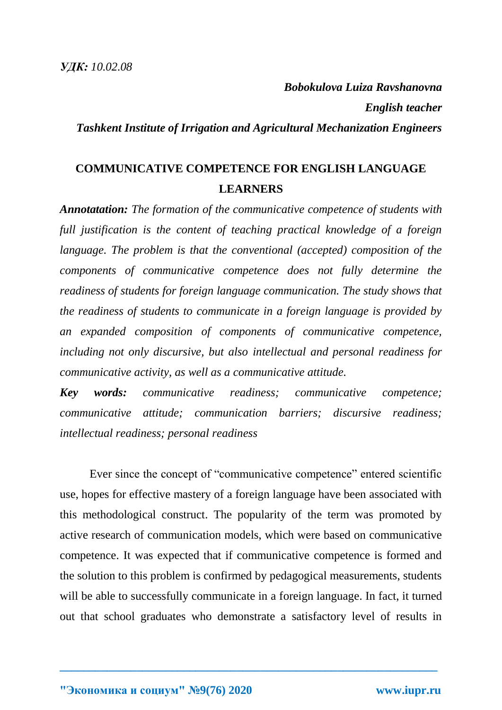*Bobokulova Luiza Ravshanovna English teacher Tashkent Institute of Irrigation and Agricultural Mechanization Engineers*

## **COMMUNICATIVE COMPETENCE FOR ENGLISH LANGUAGE LEARNERS**

*Annotatation: The formation of the communicative competence of students with full justification is the content of teaching practical knowledge of a foreign language. The problem is that the conventional (accepted) composition of the components of communicative competence does not fully determine the readiness of students for foreign language communication. The study shows that the readiness of students to communicate in a foreign language is provided by an expanded composition of components of communicative competence, including not only discursive, but also intellectual and personal readiness for communicative activity, as well as a communicative attitude.*

*Key words: communicative readiness; communicative competence; communicative attitude; communication barriers; discursive readiness; intellectual readiness; personal readiness*

Ever since the concept of "communicative competence" entered scientific use, hopes for effective mastery of a foreign language have been associated with this methodological construct. The popularity of the term was promoted by active research of communication models, which were based on communicative competence. It was expected that if communicative competence is formed and the solution to this problem is confirmed by pedagogical measurements, students will be able to successfully communicate in a foreign language. In fact, it turned out that school graduates who demonstrate a satisfactory level of results in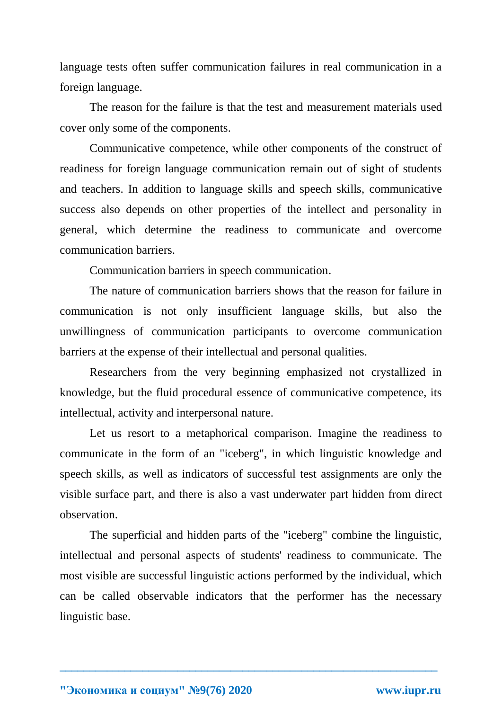language tests often suffer communication failures in real communication in a foreign language.

The reason for the failure is that the test and measurement materials used cover only some of the components.

Communicative competence, while other components of the construct of readiness for foreign language communication remain out of sight of students and teachers. In addition to language skills and speech skills, communicative success also depends on other properties of the intellect and personality in general, which determine the readiness to communicate and overcome communication barriers.

Communication barriers in speech communication.

The nature of communication barriers shows that the reason for failure in communication is not only insufficient language skills, but also the unwillingness of communication participants to overcome communication barriers at the expense of their intellectual and personal qualities.

Researchers from the very beginning emphasized not crystallized in knowledge, but the fluid procedural essence of communicative competence, its intellectual, activity and interpersonal nature.

Let us resort to a metaphorical comparison. Imagine the readiness to communicate in the form of an "iceberg", in which linguistic knowledge and speech skills, as well as indicators of successful test assignments are only the visible surface part, and there is also a vast underwater part hidden from direct observation.

The superficial and hidden parts of the "iceberg" combine the linguistic, intellectual and personal aspects of students' readiness to communicate. The most visible are successful linguistic actions performed by the individual, which can be called observable indicators that the performer has the necessary linguistic base.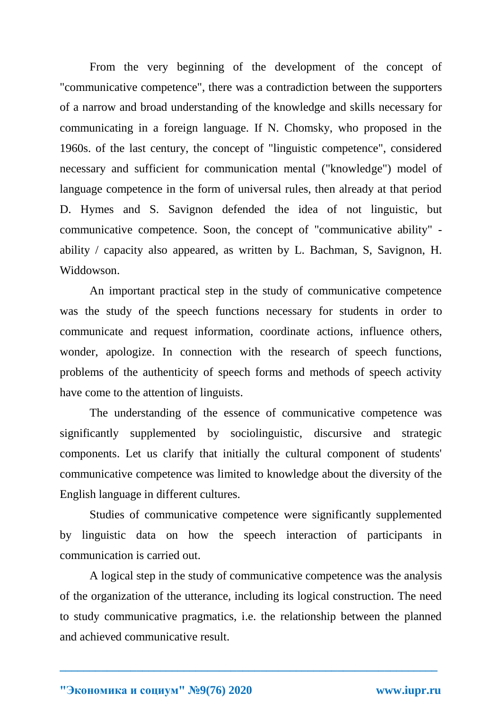From the very beginning of the development of the concept of "communicative competence", there was a contradiction between the supporters of a narrow and broad understanding of the knowledge and skills necessary for communicating in a foreign language. If N. Chomsky, who proposed in the 1960s. of the last century, the concept of "linguistic competence", considered necessary and sufficient for communication mental ("knowledge") model of language competence in the form of universal rules, then already at that period D. Hymes and S. Savignon defended the idea of not linguistic, but communicative competence. Soon, the concept of "communicative ability" ability / capacity also appeared, as written by L. Bachman, S, Savignon, H. Widdowson.

An important practical step in the study of communicative competence was the study of the speech functions necessary for students in order to communicate and request information, coordinate actions, influence others, wonder, apologize. In connection with the research of speech functions, problems of the authenticity of speech forms and methods of speech activity have come to the attention of linguists.

The understanding of the essence of communicative competence was significantly supplemented by sociolinguistic, discursive and strategic components. Let us clarify that initially the cultural component of students' communicative competence was limited to knowledge about the diversity of the English language in different cultures.

Studies of communicative competence were significantly supplemented by linguistic data on how the speech interaction of participants in communication is carried out.

A logical step in the study of communicative competence was the analysis of the organization of the utterance, including its logical construction. The need to study communicative pragmatics, i.e. the relationship between the planned and achieved communicative result.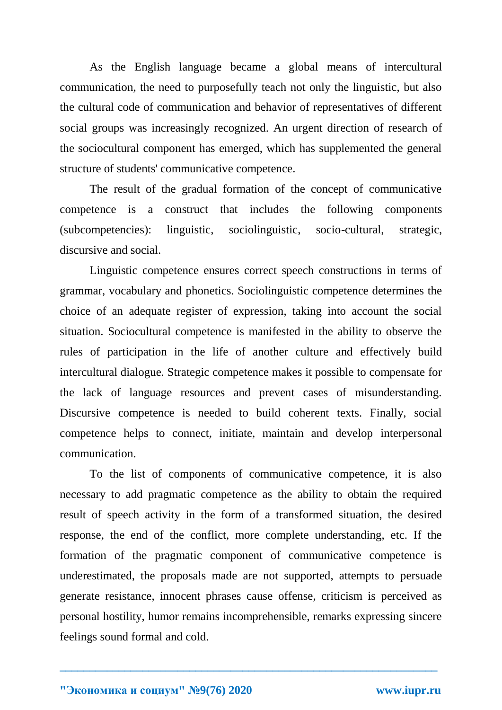As the English language became a global means of intercultural communication, the need to purposefully teach not only the linguistic, but also the cultural code of communication and behavior of representatives of different social groups was increasingly recognized. An urgent direction of research of the sociocultural component has emerged, which has supplemented the general structure of students' communicative competence.

The result of the gradual formation of the concept of communicative competence is a construct that includes the following components (subcompetencies): linguistic, sociolinguistic, socio-cultural, strategic, discursive and social.

Linguistic competence ensures correct speech constructions in terms of grammar, vocabulary and phonetics. Sociolinguistic competence determines the choice of an adequate register of expression, taking into account the social situation. Sociocultural competence is manifested in the ability to observe the rules of participation in the life of another culture and effectively build intercultural dialogue. Strategic competence makes it possible to compensate for the lack of language resources and prevent cases of misunderstanding. Discursive competence is needed to build coherent texts. Finally, social competence helps to connect, initiate, maintain and develop interpersonal communication.

To the list of components of communicative competence, it is also necessary to add pragmatic competence as the ability to obtain the required result of speech activity in the form of a transformed situation, the desired response, the end of the conflict, more complete understanding, etc. If the formation of the pragmatic component of communicative competence is underestimated, the proposals made are not supported, attempts to persuade generate resistance, innocent phrases cause offense, criticism is perceived as personal hostility, humor remains incomprehensible, remarks expressing sincere feelings sound formal and cold.